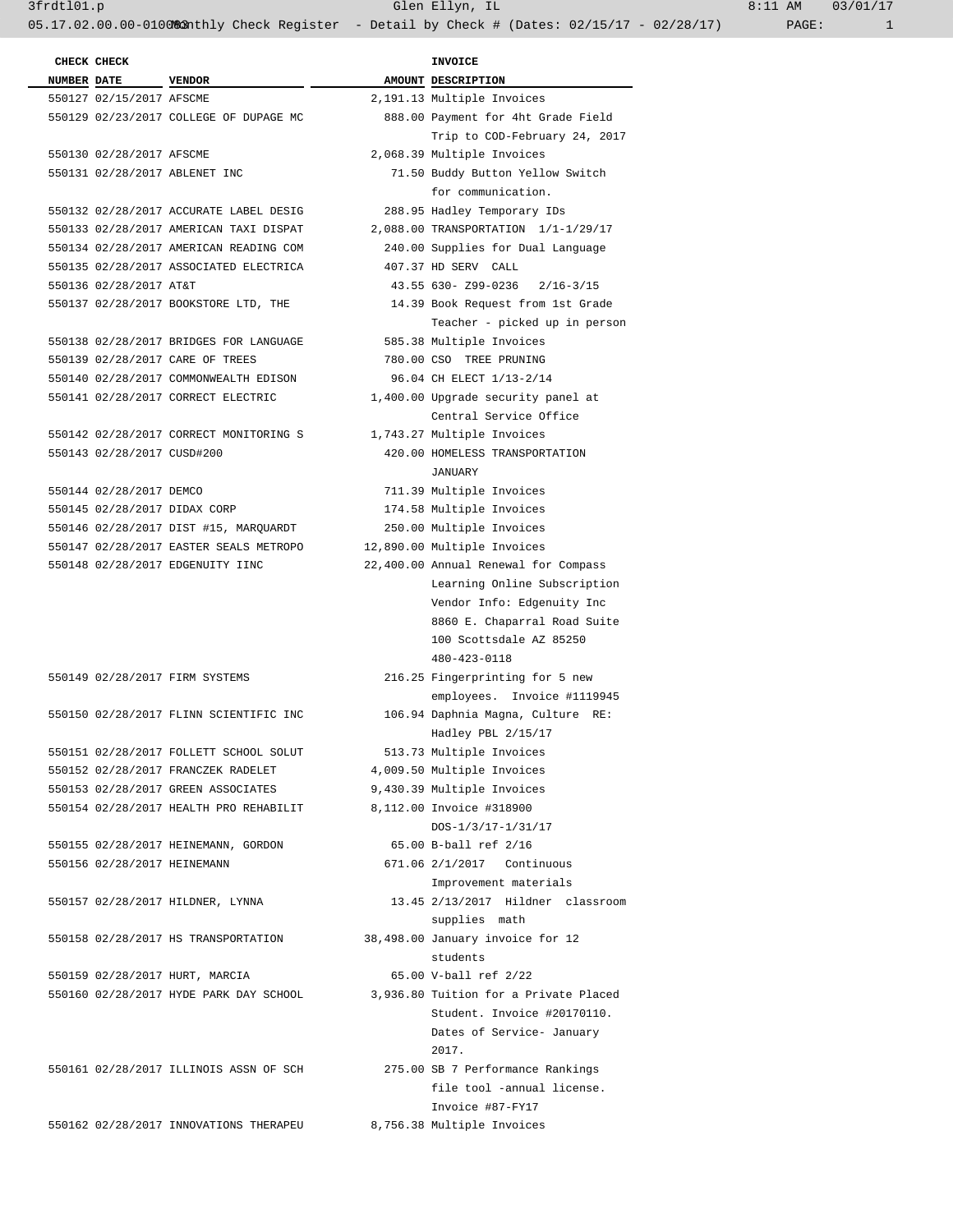**CHECK CHECK INVOICE NUMBER** DATE VENDOR **AMOUNT** DESCRIPTION 550127 02/15/2017 AFSCME 2,191.13 Multiple Invoices 550130 02/28/2017 AFSCME 2,068.39 Multiple Invoices 550132 02/28/2017 ACCURATE LABEL DESIG 288.95 Hadley Temporary IDs 550135 02/28/2017 ASSOCIATED ELECTRICA 407.37 HD SERV CALL

 550139 02/28/2017 CARE OF TREES 780.00 CSO TREE PRUNING 550140 02/28/2017 COMMONWEALTH EDISON 96.04 CH ELECT 1/13-2/14 550141 02/28/2017 CORRECT ELECTRIC 1,400.00 Upgrade security panel at

 550142 02/28/2017 CORRECT MONITORING S 1,743.27 Multiple Invoices 550143 02/28/2017 CUSD#200 420.00 HOMELESS TRANSPORTATION

 550144 02/28/2017 DEMCO 711.39 Multiple Invoices 550145 02/28/2017 DIDAX CORP 174.58 Multiple Invoices 550146 02/28/2017 DIST #15, MARQUARDT 250.00 Multiple Invoices 550147 02/28/2017 EASTER SEALS METROPO 12,890.00 Multiple Invoices 550148 02/28/2017 EDGENUITY IINC 22,400.00 Annual Renewal for Compass

 550152 02/28/2017 FRANCZEK RADELET 4,009.50 Multiple Invoices 550153 02/28/2017 GREEN ASSOCIATES 9,430.39 Multiple Invoices 550154 02/28/2017 HEALTH PRO REHABILIT 8,112.00 Invoice #318900

550156 02/28/2017 HEINEMANN 671.06 2/1/2017 Continuous

550159 02/28/2017 HURT, MARCIA 65.00 V-ball ref 2/22

550162 02/28/2017 INNOVATIONS THERAPEU 8,756.38 Multiple Invoices

 550129 02/23/2017 COLLEGE OF DUPAGE MC 888.00 Payment for 4ht Grade Field Trip to COD-February 24, 2017 550131 02/28/2017 ABLENET INC 71.50 Buddy Button Yellow Switch for communication. 550133 02/28/2017 AMERICAN TAXI DISPAT 2,088.00 TRANSPORTATION 1/1-1/29/17 550134 02/28/2017 AMERICAN READING COM 240.00 Supplies for Dual Language 550136 02/28/2017 AT&T 43.55 630- Z99-0236 2/16-3/15 550137 02/28/2017 BOOKSTORE LTD, THE 14.39 Book Request from 1st Grade Teacher - picked up in person 550138 02/28/2017 BRIDGES FOR LANGUAGE 585.38 Multiple Invoices Central Service Office JANUARY Learning Online Subscription Vendor Info: Edgenuity Inc 8860 E. Chaparral Road Suite 100 Scottsdale AZ 85250 480-423-0118 550149 02/28/2017 FIRM SYSTEMS 216.25 Fingerprinting for 5 new employees. Invoice #1119945 550150 02/28/2017 FLINN SCIENTIFIC INC 106.94 Daphnia Magna, Culture RE: Hadley PBL 2/15/17 550151 02/28/2017 FOLLETT SCHOOL SOLUT 513.73 Multiple Invoices DOS-1/3/17-1/31/17 550155 02/28/2017 HEINEMANN, GORDON 65.00 B-ball ref 2/16 Improvement materials 550157 02/28/2017 HILDNER, LYNNA 13.45 2/13/2017 Hildner classroom supplies math 550158 02/28/2017 HS TRANSPORTATION 38,498.00 January invoice for 12 students 550160 02/28/2017 HYDE PARK DAY SCHOOL 3,936.80 Tuition for a Private Placed Student. Invoice #20170110. Dates of Service- January 2017. 550161 02/28/2017 ILLINOIS ASSN OF SCH 275.00 SB 7 Performance Rankings file tool -annual license. Invoice #87-FY17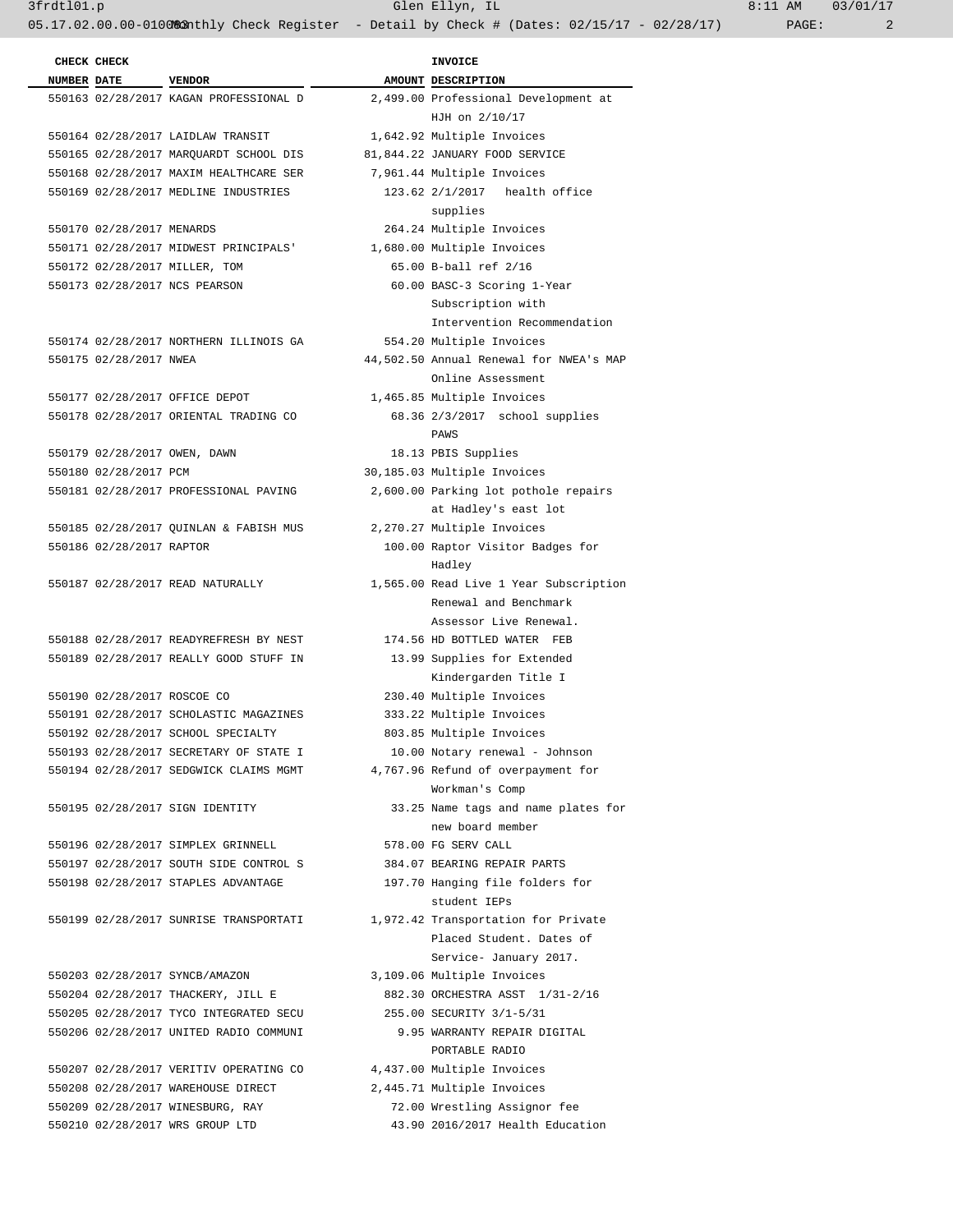3frdtl01.p Glen Ellyn, IL 8:11 AM 03/01/17

05.17.02.00.00-0100%3 Anthly Check Register - Detail by Check # (Dates: 02/15/17 - 02/28/17) PAGE: 2

|                             |                                                                  | $5000 + 1000$                           |
|-----------------------------|------------------------------------------------------------------|-----------------------------------------|
| CHECK CHECK                 |                                                                  | <b>INVOICE</b>                          |
| NUMBER DATE VENDOR          |                                                                  | AMOUNT DESCRIPTION                      |
|                             | 550163 02/28/2017 KAGAN PROFESSIONAL D                           | 2,499.00 Professional Development at    |
|                             |                                                                  | HJH on 2/10/17                          |
|                             | 550164 02/28/2017 LAIDLAW TRANSIT                                | 1,642.92 Multiple Invoices              |
|                             | 550165 02/28/2017 MARQUARDT SCHOOL DIS                           | 81,844.22 JANUARY FOOD SERVICE          |
|                             | 550168 02/28/2017 MAXIM HEALTHCARE SER                           | 7,961.44 Multiple Invoices              |
|                             | 550169 02/28/2017 MEDLINE INDUSTRIES                             | 123.62 2/1/2017 health office           |
|                             |                                                                  | supplies                                |
| 550170 02/28/2017 MENARDS   |                                                                  | 264.24 Multiple Invoices                |
|                             | 550171 02/28/2017 MIDWEST PRINCIPALS' 1,680.00 Multiple Invoices |                                         |
|                             | 550172 02/28/2017 MILLER, TOM                                    | 65.00 B-ball ref 2/16                   |
|                             | 550173 02/28/2017 NCS PEARSON                                    | 60.00 BASC-3 Scoring 1-Year             |
|                             |                                                                  | Subscription with                       |
|                             |                                                                  | Intervention Recommendation             |
|                             | 550174 02/28/2017 NORTHERN ILLINOIS GA                           | 554.20 Multiple Invoices                |
| 550175 02/28/2017 NWEA      |                                                                  | 44,502.50 Annual Renewal for NWEA's MAP |
|                             |                                                                  | Online Assessment                       |
|                             | 550177 02/28/2017 OFFICE DEPOT                                   | 1,465.85 Multiple Invoices              |
|                             | 550178 02/28/2017 ORIENTAL TRADING CO                            | 68.36 2/3/2017 school supplies          |
|                             |                                                                  | PAWS                                    |
|                             | 550179 02/28/2017 OWEN, DAWN                                     | 18.13 PBIS Supplies                     |
| 550180 02/28/2017 PCM       |                                                                  | 30,185.03 Multiple Invoices             |
|                             | 550181 02/28/2017 PROFESSIONAL PAVING                            | 2,600.00 Parking lot pothole repairs    |
|                             |                                                                  | at Hadley's east lot                    |
|                             | 550185 02/28/2017 QUINLAN & FABISH MUS                           | 2,270.27 Multiple Invoices              |
| 550186 02/28/2017 RAPTOR    |                                                                  | 100.00 Raptor Visitor Badges for        |
|                             |                                                                  | Hadley                                  |
|                             | 550187 02/28/2017 READ NATURALLY                                 | 1,565.00 Read Live 1 Year Subscription  |
|                             |                                                                  | Renewal and Benchmark                   |
|                             |                                                                  | Assessor Live Renewal.                  |
|                             | 550188 02/28/2017 READYREFRESH BY NEST                           | 174.56 HD BOTTLED WATER FEB             |
|                             | 550189 02/28/2017 REALLY GOOD STUFF IN                           | 13.99 Supplies for Extended             |
|                             |                                                                  | Kindergarden Title I                    |
| 550190 02/28/2017 ROSCOE CO |                                                                  | 230.40 Multiple Invoices                |
|                             | 550191 02/28/2017 SCHOLASTIC MAGAZINES                           | 333.22 Multiple Invoices                |
|                             | 550192 02/28/2017 SCHOOL SPECIALTY                               | 803.85 Multiple Invoices                |
|                             | 550193 02/28/2017 SECRETARY OF STATE I                           | 10.00 Notary renewal - Johnson          |
|                             | 550194 02/28/2017 SEDGWICK CLAIMS MGMT                           | 4,767.96 Refund of overpayment for      |
|                             |                                                                  | Workman's Comp                          |
|                             | 550195 02/28/2017 SIGN IDENTITY                                  | 33.25 Name tags and name plates for     |
|                             |                                                                  | new board member                        |
|                             | 550196 02/28/2017 SIMPLEX GRINNELL                               | 578.00 FG SERV CALL                     |
|                             | 550197 02/28/2017 SOUTH SIDE CONTROL S                           | 384.07 BEARING REPAIR PARTS             |
|                             | 550198 02/28/2017 STAPLES ADVANTAGE                              | 197.70 Hanging file folders for         |
|                             |                                                                  | student IEPs                            |
|                             | 550199 02/28/2017 SUNRISE TRANSPORTATI                           | 1,972.42 Transportation for Private     |
|                             |                                                                  | Placed Student. Dates of                |
|                             |                                                                  | Service- January 2017.                  |
|                             | 550203 02/28/2017 SYNCB/AMAZON                                   | 3,109.06 Multiple Invoices              |
|                             | 550204 02/28/2017 THACKERY, JILL E                               | 882.30 ORCHESTRA ASST 1/31-2/16         |
|                             | 550205 02/28/2017 TYCO INTEGRATED SECU                           | 255.00 SECURITY 3/1-5/31                |
|                             | 550206 02/28/2017 UNITED RADIO COMMUNI                           | 9.95 WARRANTY REPAIR DIGITAL            |
|                             |                                                                  | PORTABLE RADIO                          |
|                             | 550207 02/28/2017 VERITIV OPERATING CO                           | 4,437.00 Multiple Invoices              |
|                             | 550208 02/28/2017 WAREHOUSE DIRECT                               | 2,445.71 Multiple Invoices              |
|                             | 550209 02/28/2017 WINESBURG, RAY                                 | 72.00 Wrestling Assignor fee            |
|                             | 550210 02/28/2017 WRS GROUP LTD                                  | 43.90 2016/2017 Health Education        |
|                             |                                                                  |                                         |
|                             |                                                                  |                                         |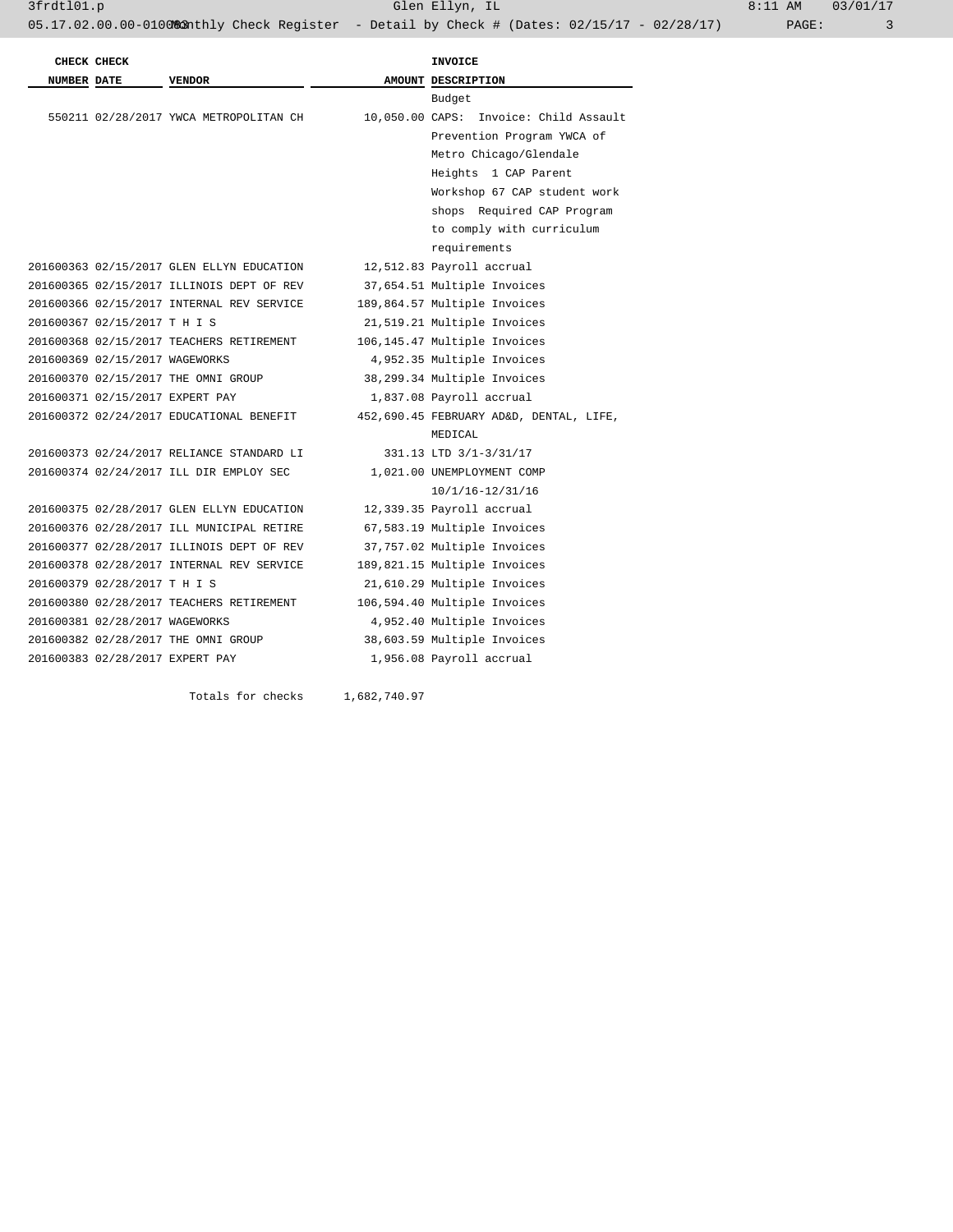3frdtl01.p Glen Ellyn, IL 8:11 AM 03/01/17

|                    | CHECK CHECK                     |                                           | <b>INVOICE</b>                          |
|--------------------|---------------------------------|-------------------------------------------|-----------------------------------------|
| <b>NUMBER DATE</b> |                                 | <b>VENDOR</b>                             | AMOUNT DESCRIPTION                      |
|                    |                                 |                                           | Budget                                  |
|                    |                                 | 550211 02/28/2017 YWCA METROPOLITAN CH    | 10,050.00 CAPS: Invoice: Child Assault  |
|                    |                                 |                                           | Prevention Program YWCA of              |
|                    |                                 |                                           | Metro Chicago/Glendale                  |
|                    |                                 |                                           | Heights 1 CAP Parent                    |
|                    |                                 |                                           | Workshop 67 CAP student work            |
|                    |                                 |                                           | shops Required CAP Program              |
|                    |                                 |                                           | to comply with curriculum               |
|                    |                                 |                                           | requirements                            |
|                    |                                 | 201600363 02/15/2017 GLEN ELLYN EDUCATION | 12,512.83 Payroll accrual               |
|                    |                                 | 201600365 02/15/2017 ILLINOIS DEPT OF REV | 37,654.51 Multiple Invoices             |
|                    |                                 | 201600366 02/15/2017 INTERNAL REV SERVICE | 189,864.57 Multiple Invoices            |
|                    | 201600367 02/15/2017 T H I S    |                                           | 21,519.21 Multiple Invoices             |
|                    |                                 | 201600368 02/15/2017 TEACHERS RETIREMENT  | 106,145.47 Multiple Invoices            |
|                    | 201600369 02/15/2017 WAGEWORKS  |                                           | 4,952.35 Multiple Invoices              |
|                    |                                 | 201600370 02/15/2017 THE OMNI GROUP       | 38,299.34 Multiple Invoices             |
|                    | 201600371 02/15/2017 EXPERT PAY |                                           | 1,837.08 Payroll accrual                |
|                    |                                 | 201600372 02/24/2017 EDUCATIONAL BENEFIT  | 452,690.45 FEBRUARY AD&D, DENTAL, LIFE, |
|                    |                                 |                                           | MEDICAL                                 |
|                    |                                 | 201600373 02/24/2017 RELIANCE STANDARD LI | 331.13 LTD 3/1-3/31/17                  |
|                    |                                 | 201600374 02/24/2017 ILL DIR EMPLOY SEC   | 1,021.00 UNEMPLOYMENT COMP              |
|                    |                                 |                                           | 10/1/16-12/31/16                        |
|                    |                                 | 201600375 02/28/2017 GLEN ELLYN EDUCATION | 12,339.35 Payroll accrual               |
|                    |                                 | 201600376 02/28/2017 ILL MUNICIPAL RETIRE | 67,583.19 Multiple Invoices             |
|                    |                                 | 201600377 02/28/2017 ILLINOIS DEPT OF REV | 37,757.02 Multiple Invoices             |
|                    |                                 | 201600378 02/28/2017 INTERNAL REV SERVICE | 189,821.15 Multiple Invoices            |
|                    | 201600379 02/28/2017 T H I S    |                                           | 21,610.29 Multiple Invoices             |
|                    |                                 | 201600380 02/28/2017 TEACHERS RETIREMENT  | 106,594.40 Multiple Invoices            |
|                    | 201600381 02/28/2017 WAGEWORKS  |                                           | 4,952.40 Multiple Invoices              |
|                    |                                 | 201600382 02/28/2017 THE OMNI GROUP       | 38,603.59 Multiple Invoices             |
|                    | 201600383 02/28/2017 EXPERT PAY |                                           | 1,956.08 Payroll accrual                |

Totals for checks 1,682,740.97